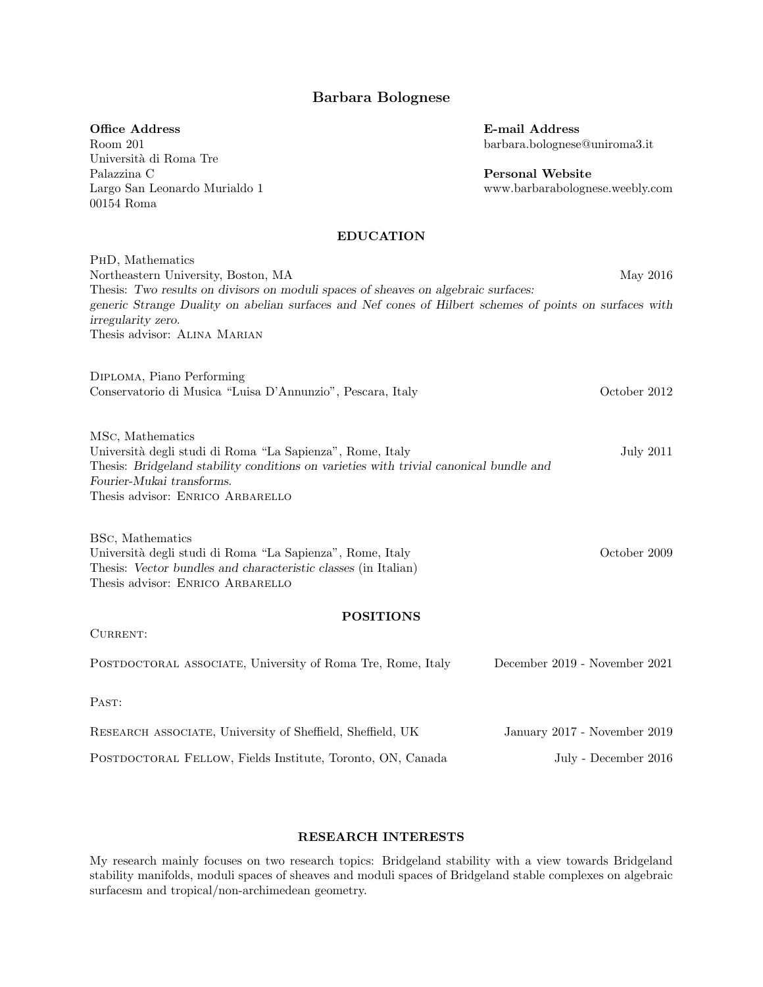# Barbara Bolognese

### Office Address

Room 201 Università di Roma Tre Palazzina C Largo San Leonardo Murialdo 1 00154 Roma

E-mail Address barbara.bolognese@uniroma3.it

Personal Website www.barbarabolognese.weebly.com

## EDUCATION

PhD, Mathematics Northeastern University, Boston, MA May 2016 Thesis: Two results on divisors on moduli spaces of sheaves on algebraic surfaces: generic Strange Duality on abelian surfaces and Nef cones of Hilbert schemes of points on surfaces with irregularity zero. Thesis advisor: Alina Marian

Diploma, Piano Performing Conservatorio di Musica "Luisa D'Annunzio", Pescara, Italy October 2012

MSc, Mathematics Universit`a degli studi di Roma "La Sapienza", Rome, Italy July 2011 Thesis: Bridgeland stability conditions on varieties with trivial canonical bundle and Fourier-Mukai transforms. Thesis advisor: ENRICO ARBARELLO

BSc, Mathematics Universit`a degli studi di Roma "La Sapienza", Rome, Italy October 2009 Thesis: Vector bundles and characteristic classes (in Italian) Thesis advisor: Enrico Arbarello

## POSITIONS

CURRENT:

POSTDOCTORAL ASSOCIATE, University of Roma Tre, Rome, Italy December 2019 - November 2021

PAST:

| RESEARCH ASSOCIATE, University of Sheffield, Sheffield, UK | January 2017 - November 2019 |
|------------------------------------------------------------|------------------------------|
| POSTDOCTORAL FELLOW, Fields Institute, Toronto, ON, Canada | July - December 2016         |

## RESEARCH INTERESTS

My research mainly focuses on two research topics: Bridgeland stability with a view towards Bridgeland stability manifolds, moduli spaces of sheaves and moduli spaces of Bridgeland stable complexes on algebraic surfacesm and tropical/non-archimedean geometry.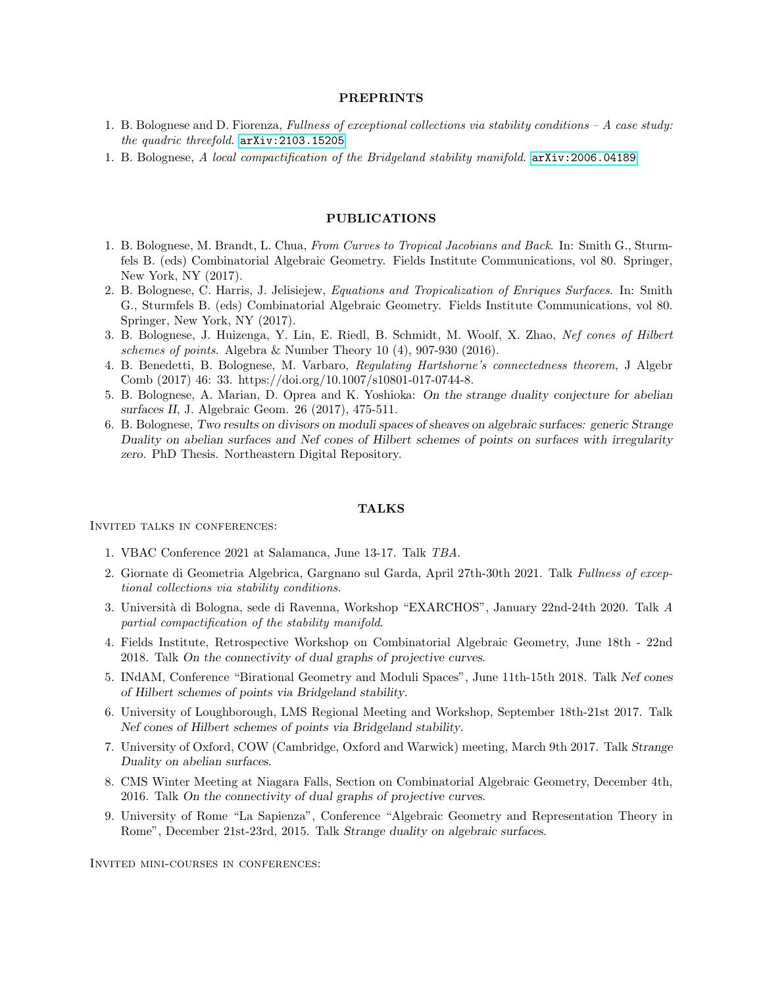### PREPRINTS

- 1. B. Bolognese and D. Fiorenza, Fullness of exceptional collections via stability conditions  $-A$  case study: the quadric threefold. <arXiv:2103.15205>
- 1. B. Bolognese, A local compactification of the Bridgeland stability manifold. <arXiv:2006.04189>

## PUBLICATIONS

- 1. B. Bolognese, M. Brandt, L. Chua, From Curves to Tropical Jacobians and Back. In: Smith G., Sturmfels B. (eds) Combinatorial Algebraic Geometry. Fields Institute Communications, vol 80. Springer, New York, NY (2017).
- 2. B. Bolognese, C. Harris, J. Jelisiejew, Equations and Tropicalization of Enriques Surfaces. In: Smith G., Sturmfels B. (eds) Combinatorial Algebraic Geometry. Fields Institute Communications, vol 80. Springer, New York, NY (2017).
- 3. B. Bolognese, J. Huizenga, Y. Lin, E. Riedl, B. Schmidt, M. Woolf, X. Zhao, Nef cones of Hilbert schemes of points. Algebra & Number Theory 10 (4), 907-930 (2016).
- 4. B. Benedetti, B. Bolognese, M. Varbaro, Regulating Hartshorne's connectedness theorem, J Algebr Comb (2017) 46: 33. https://doi.org/10.1007/s10801-017-0744-8.
- 5. B. Bolognese, A. Marian, D. Oprea and K. Yoshioka: On the strange duality conjecture for abelian surfaces II, J. Algebraic Geom. 26 (2017), 475-511.
- 6. B. Bolognese, Two results on divisors on moduli spaces of sheaves on algebraic surfaces: generic Strange Duality on abelian surfaces and Nef cones of Hilbert schemes of points on surfaces with irregularity zero. PhD Thesis. Northeastern Digital Repository.

#### TALKS

Invited talks in conferences:

- 1. VBAC Conference 2021 at Salamanca, June 13-17. Talk TBA.
- 2. Giornate di Geometria Algebrica, Gargnano sul Garda, April 27th-30th 2021. Talk Fullness of exceptional collections via stability conditions.
- 3. Universit`a di Bologna, sede di Ravenna, Workshop "EXARCHOS", January 22nd-24th 2020. Talk A partial compactification of the stability manifold.
- 4. Fields Institute, Retrospective Workshop on Combinatorial Algebraic Geometry, June 18th 22nd 2018. Talk On the connectivity of dual graphs of projective curves.
- 5. INdAM, Conference "Birational Geometry and Moduli Spaces", June 11th-15th 2018. Talk Nef cones of Hilbert schemes of points via Bridgeland stability.
- 6. University of Loughborough, LMS Regional Meeting and Workshop, September 18th-21st 2017. Talk Nef cones of Hilbert schemes of points via Bridgeland stability.
- 7. University of Oxford, COW (Cambridge, Oxford and Warwick) meeting, March 9th 2017. Talk Strange Duality on abelian surfaces.
- 8. CMS Winter Meeting at Niagara Falls, Section on Combinatorial Algebraic Geometry, December 4th, 2016. Talk On the connectivity of dual graphs of projective curves.
- 9. University of Rome "La Sapienza", Conference "Algebraic Geometry and Representation Theory in Rome", December 21st-23rd, 2015. Talk Strange duality on algebraic surfaces.

Invited mini-courses in conferences: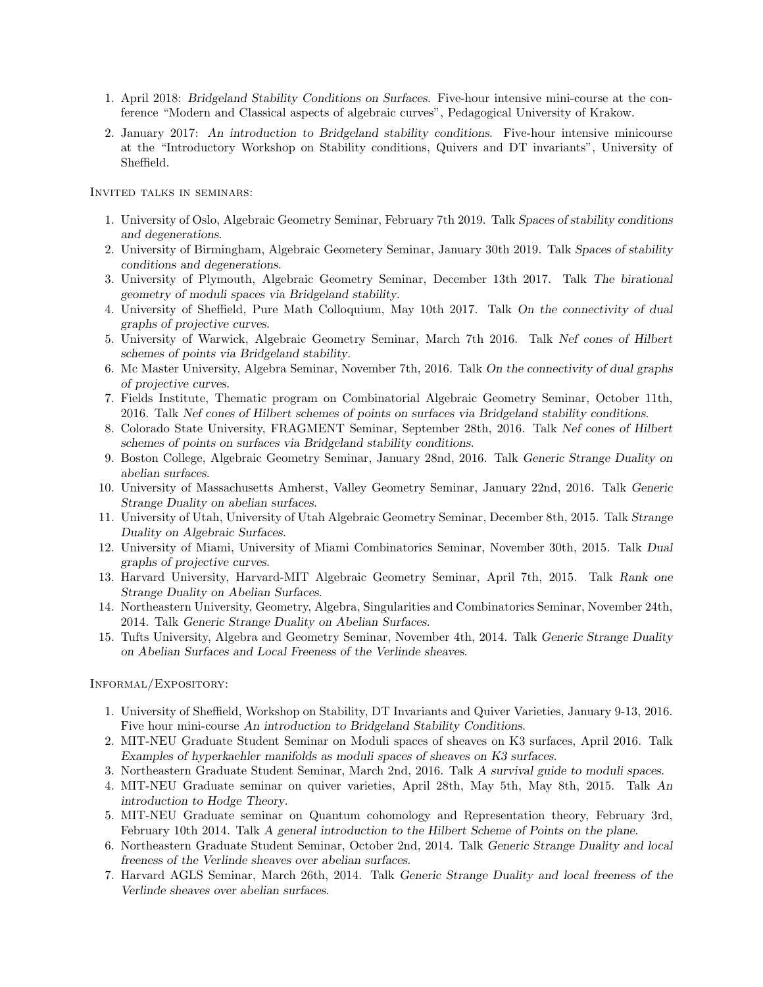- 1. April 2018: Bridgeland Stability Conditions on Surfaces. Five-hour intensive mini-course at the conference "Modern and Classical aspects of algebraic curves", Pedagogical University of Krakow.
- 2. January 2017: An introduction to Bridgeland stability conditions. Five-hour intensive minicourse at the "Introductory Workshop on Stability conditions, Quivers and DT invariants", University of Sheffield.

Invited talks in seminars:

- 1. University of Oslo, Algebraic Geometry Seminar, February 7th 2019. Talk Spaces of stability conditions and degenerations.
- 2. University of Birmingham, Algebraic Geometery Seminar, January 30th 2019. Talk Spaces of stability conditions and degenerations.
- 3. University of Plymouth, Algebraic Geometry Seminar, December 13th 2017. Talk The birational geometry of moduli spaces via Bridgeland stability.
- 4. University of Sheffield, Pure Math Colloquium, May 10th 2017. Talk On the connectivity of dual graphs of projective curves.
- 5. University of Warwick, Algebraic Geometry Seminar, March 7th 2016. Talk Nef cones of Hilbert schemes of points via Bridgeland stability.
- 6. Mc Master University, Algebra Seminar, November 7th, 2016. Talk On the connectivity of dual graphs of projective curves.
- 7. Fields Institute, Thematic program on Combinatorial Algebraic Geometry Seminar, October 11th, 2016. Talk Nef cones of Hilbert schemes of points on surfaces via Bridgeland stability conditions.
- 8. Colorado State University, FRAGMENT Seminar, September 28th, 2016. Talk Nef cones of Hilbert schemes of points on surfaces via Bridgeland stability conditions.
- 9. Boston College, Algebraic Geometry Seminar, January 28nd, 2016. Talk Generic Strange Duality on abelian surfaces.
- 10. University of Massachusetts Amherst, Valley Geometry Seminar, January 22nd, 2016. Talk Generic Strange Duality on abelian surfaces.
- 11. University of Utah, University of Utah Algebraic Geometry Seminar, December 8th, 2015. Talk Strange Duality on Algebraic Surfaces.
- 12. University of Miami, University of Miami Combinatorics Seminar, November 30th, 2015. Talk Dual graphs of projective curves.
- 13. Harvard University, Harvard-MIT Algebraic Geometry Seminar, April 7th, 2015. Talk Rank one Strange Duality on Abelian Surfaces.
- 14. Northeastern University, Geometry, Algebra, Singularities and Combinatorics Seminar, November 24th, 2014. Talk Generic Strange Duality on Abelian Surfaces.
- 15. Tufts University, Algebra and Geometry Seminar, November 4th, 2014. Talk Generic Strange Duality on Abelian Surfaces and Local Freeness of the Verlinde sheaves.

Informal/Expository:

- 1. University of Sheffield, Workshop on Stability, DT Invariants and Quiver Varieties, January 9-13, 2016. Five hour mini-course An introduction to Bridgeland Stability Conditions.
- 2. MIT-NEU Graduate Student Seminar on Moduli spaces of sheaves on K3 surfaces, April 2016. Talk Examples of hyperkaehler manifolds as moduli spaces of sheaves on K3 surfaces.
- 3. Northeastern Graduate Student Seminar, March 2nd, 2016. Talk A survival guide to moduli spaces.
- 4. MIT-NEU Graduate seminar on quiver varieties, April 28th, May 5th, May 8th, 2015. Talk An introduction to Hodge Theory.
- 5. MIT-NEU Graduate seminar on Quantum cohomology and Representation theory, February 3rd, February 10th 2014. Talk A general introduction to the Hilbert Scheme of Points on the plane.
- 6. Northeastern Graduate Student Seminar, October 2nd, 2014. Talk Generic Strange Duality and local freeness of the Verlinde sheaves over abelian surfaces.
- 7. Harvard AGLS Seminar, March 26th, 2014. Talk Generic Strange Duality and local freeness of the Verlinde sheaves over abelian surfaces.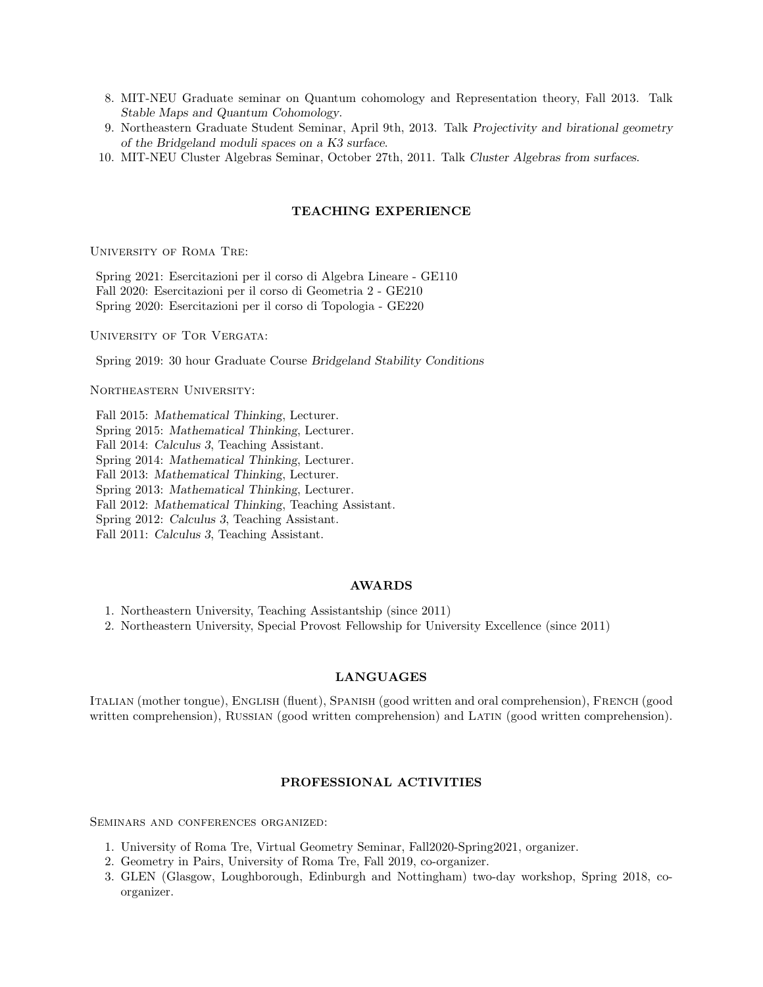- 8. MIT-NEU Graduate seminar on Quantum cohomology and Representation theory, Fall 2013. Talk Stable Maps and Quantum Cohomology.
- 9. Northeastern Graduate Student Seminar, April 9th, 2013. Talk Projectivity and birational geometry of the Bridgeland moduli spaces on a K3 surface.
- 10. MIT-NEU Cluster Algebras Seminar, October 27th, 2011. Talk Cluster Algebras from surfaces.

## TEACHING EXPERIENCE

University of Roma Tre:

Spring 2021: Esercitazioni per il corso di Algebra Lineare - GE110 Fall 2020: Esercitazioni per il corso di Geometria 2 - GE210 Spring 2020: Esercitazioni per il corso di Topologia - GE220

UNIVERSITY OF TOR VERGATA:

Spring 2019: 30 hour Graduate Course Bridgeland Stability Conditions

Northeastern University:

Fall 2015: Mathematical Thinking, Lecturer. Spring 2015: Mathematical Thinking, Lecturer. Fall 2014: Calculus 3, Teaching Assistant. Spring 2014: Mathematical Thinking, Lecturer. Fall 2013: Mathematical Thinking, Lecturer. Spring 2013: Mathematical Thinking, Lecturer. Fall 2012: Mathematical Thinking, Teaching Assistant. Spring 2012: Calculus 3, Teaching Assistant. Fall 2011: Calculus 3, Teaching Assistant.

### AWARDS

1. Northeastern University, Teaching Assistantship (since 2011)

2. Northeastern University, Special Provost Fellowship for University Excellence (since 2011)

### LANGUAGES

Italian (mother tongue), English (fluent), Spanish (good written and oral comprehension), French (good written comprehension), RUSSIAN (good written comprehension) and LATIN (good written comprehension).

# PROFESSIONAL ACTIVITIES

Seminars and conferences organized:

- 1. University of Roma Tre, Virtual Geometry Seminar, Fall2020-Spring2021, organizer.
- 2. Geometry in Pairs, University of Roma Tre, Fall 2019, co-organizer.
- 3. GLEN (Glasgow, Loughborough, Edinburgh and Nottingham) two-day workshop, Spring 2018, coorganizer.